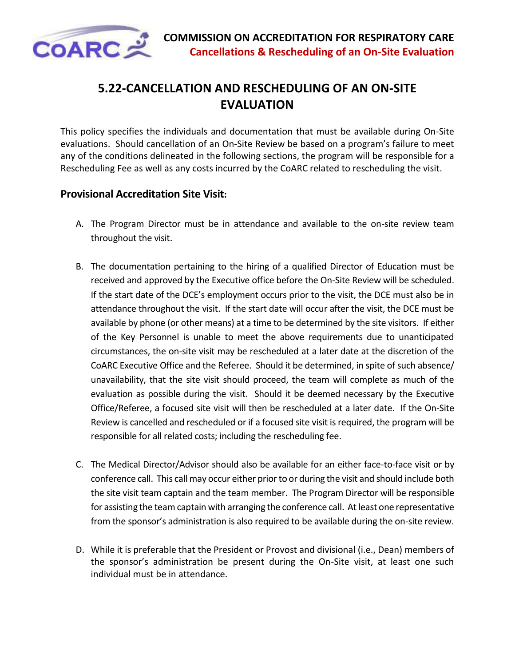

## **5.22-CANCELLATION AND RESCHEDULING OF AN ON-SITE EVALUATION**

This policy specifies the individuals and documentation that must be available during On-Site evaluations. Should cancellation of an On-Site Review be based on a program's failure to meet any of the conditions delineated in the following sections, the program will be responsible for a Rescheduling Fee as well as any costs incurred by the CoARC related to rescheduling the visit.

## **Provisional Accreditation Site Visit:**

- A. The Program Director must be in attendance and available to the on-site review team throughout the visit.
- B. The documentation pertaining to the hiring of a qualified Director of Education must be received and approved by the Executive office before the On-Site Review will be scheduled. If the start date of the DCE's employment occurs prior to the visit, the DCE must also be in attendance throughout the visit. If the start date will occur after the visit, the DCE must be available by phone (or other means) at a time to be determined by the site visitors. If either of the Key Personnel is unable to meet the above requirements due to unanticipated circumstances, the on-site visit may be rescheduled at a later date at the discretion of the CoARC Executive Office and the Referee. Should it be determined, in spite of such absence/ unavailability, that the site visit should proceed, the team will complete as much of the evaluation as possible during the visit. Should it be deemed necessary by the Executive Office/Referee, a focused site visit will then be rescheduled at a later date. If the On-Site Review is cancelled and rescheduled or if a focused site visit is required, the program will be responsible for all related costs; including the rescheduling fee.
- C. The Medical Director/Advisor should also be available for an either face-to-face visit or by conference call. This call may occur either prior to or during the visit and should include both the site visit team captain and the team member. The Program Director will be responsible for assisting the team captain with arranging the conference call. At least one representative from the sponsor's administration is also required to be available during the on-site review.
- D. While it is preferable that the President or Provost and divisional (i.e., Dean) members of the sponsor's administration be present during the On-Site visit, at least one such individual must be in attendance.